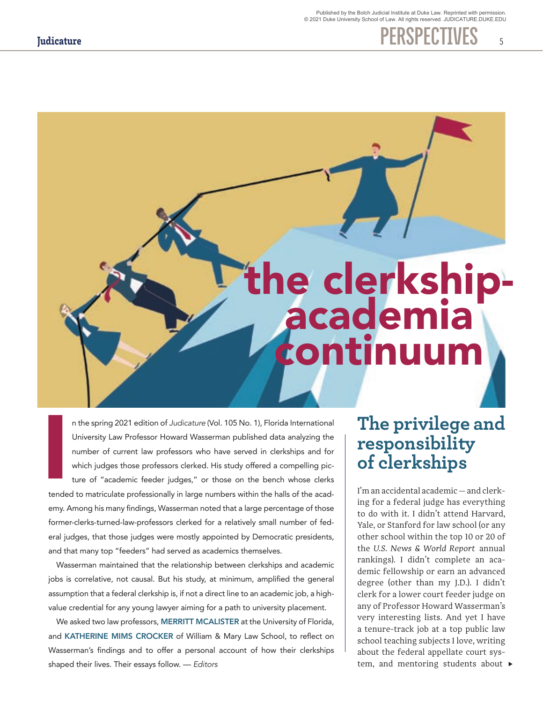## **Indicature** 5

# the clerkship-<br>**Academia** itinuu

n the spring 2021 edition of *Judicature* (Vol. 105 No. 1), Florida International University Law Professor Howard Wasserman published data analyzing the number of current law professors who have served in clerkships and for which judges those professors clerked. His study offered a compelling picture of "academic feeder judges," or those on the bench whose clerks tended to matriculate professionally in large numbers within the halls of the academy. Among his many findings, Wasserman noted that a large percentage of those former-clerks-turned-law-professors clerked for a relatively small number of federal judges, that those judges were mostly appointed by Democratic presidents, and that many top "feeders" had served as academics themselves. I

Wasserman maintained that the relationship between clerkships and academic jobs is correlative, not causal. But his study, at minimum, amplified the general assumption that a federal clerkship is, if not a direct line to an academic job, a highvalue credential for any young lawyer aiming for a path to university placement.

We asked two law professors, MERRITT MCALISTER at the University of Florida, and KATHERINE MIMS CROCKER of William & Mary Law School, to reflect on Wasserman's findings and to offer a personal account of how their clerkships shaped their lives. Their essays follow. — *Editors*

### **The privilege and responsibility of clerkships**

tem, and mentoring students about  $\blacktriangleright$ I'm an accidental academic — and clerking for a federal judge has everything to do with it. I didn't attend Harvard, Yale, or Stanford for law school (or any other school within the top 10 or 20 of the *U.S. News & World Report* annual rankings). I didn't complete an academic fellowship or earn an advanced degree (other than my J.D.). I didn't clerk for a lower court feeder judge on any of Professor Howard Wasserman's very interesting lists. And yet I have a tenure-track job at a top public law school teaching subjects I love, writing about the federal appellate court sys-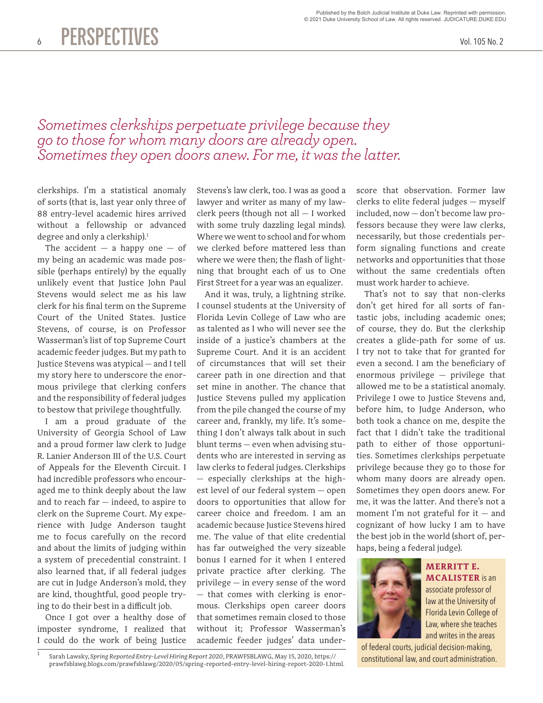Published by the Bolch Judicial Institute at Duke Law. Reprinted with permission. © 2021 Duke University School of Law. All rights reserved. JUDICATURE.DUKE.EDU

#### *Sometimes clerkships perpetuate privilege because they go to those for whom many doors are already open. Sometimes they open doors anew. For me, it was the latter.*

clerkships. I'm a statistical anomaly of sorts (that is, last year only three of 88 entry-level academic hires arrived without a fellowship or advanced degree and only a clerkship).<sup>1</sup>

The accident  $-$  a happy one  $-$  of my being an academic was made possible (perhaps entirely) by the equally unlikely event that Justice John Paul Stevens would select me as his law clerk for his final term on the Supreme Court of the United States. Justice Stevens, of course, is on Professor Wasserman's list of top Supreme Court academic feeder judges. But my path to Justice Stevens was atypical — and I tell my story here to underscore the enormous privilege that clerking confers and the responsibility of federal judges to bestow that privilege thoughtfully.

I am a proud graduate of the University of Georgia School of Law and a proud former law clerk to Judge R. Lanier Anderson III of the U.S. Court of Appeals for the Eleventh Circuit. I had incredible professors who encouraged me to think deeply about the law and to reach far — indeed, to aspire to clerk on the Supreme Court. My experience with Judge Anderson taught me to focus carefully on the record and about the limits of judging within a system of precedential constraint. I also learned that, if all federal judges are cut in Judge Anderson's mold, they are kind, thoughtful, good people trying to do their best in a difficult job.

Once I got over a healthy dose of imposter syndrome, I realized that I could do the work of being Justice

Stevens's law clerk, too. I was as good a lawyer and writer as many of my lawclerk peers (though not all — I worked with some truly dazzling legal minds). Where we went to school and for whom we clerked before mattered less than where we were then; the flash of lightning that brought each of us to One First Street for a year was an equalizer.

And it was, truly, a lightning strike. I counsel students at the University of Florida Levin College of Law who are as talented as I who will never see the inside of a justice's chambers at the Supreme Court. And it is an accident of circumstances that will set their career path in one direction and that set mine in another. The chance that Justice Stevens pulled my application from the pile changed the course of my career and, frankly, my life. It's something I don't always talk about in such blunt terms — even when advising students who are interested in serving as law clerks to federal judges. Clerkships — especially clerkships at the highest level of our federal system — open doors to opportunities that allow for career choice and freedom. I am an academic because Justice Stevens hired me. The value of that elite credential has far outweighed the very sizeable bonus I earned for it when I entered private practice after clerking. The privilege — in every sense of the word — that comes with clerking is enormous. Clerkships open career doors that sometimes remain closed to those without it; Professor Wasserman's academic feeder judges' data underscore that observation. Former law clerks to elite federal judges — myself included, now — don't become law professors because they were law clerks, necessarily, but those credentials perform signaling functions and create networks and opportunities that those without the same credentials often must work harder to achieve.

That's not to say that non-clerks don't get hired for all sorts of fantastic jobs, including academic ones; of course, they do. But the clerkship creates a glide-path for some of us. I try not to take that for granted for even a second. I am the beneficiary of enormous privilege — privilege that allowed me to be a statistical anomaly. Privilege I owe to Justice Stevens and, before him, to Judge Anderson, who both took a chance on me, despite the fact that I didn't take the traditional path to either of those opportunities. Sometimes clerkships perpetuate privilege because they go to those for whom many doors are already open. Sometimes they open doors anew. For me, it was the latter. And there's not a moment I'm not grateful for it — and cognizant of how lucky I am to have the best job in the world (short of, perhaps, being a federal judge).



**MERRITT E. MCALISTER** is an associate professor of law at the University of Florida Levin College of Law, where she teaches and writes in the areas

of federal courts, judicial decision-making, constitutional law, and court administration.